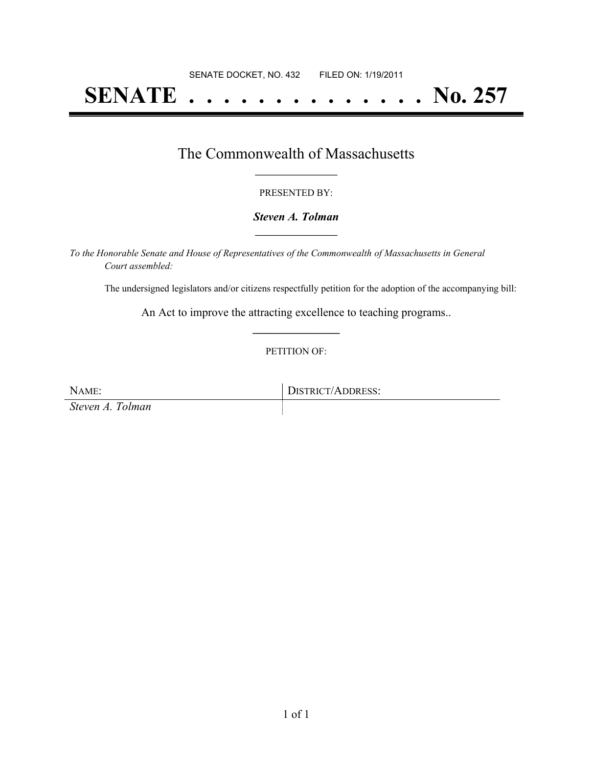# **SENATE . . . . . . . . . . . . . . No. 257**

## The Commonwealth of Massachusetts **\_\_\_\_\_\_\_\_\_\_\_\_\_\_\_\_\_**

#### PRESENTED BY:

#### *Steven A. Tolman* **\_\_\_\_\_\_\_\_\_\_\_\_\_\_\_\_\_**

*To the Honorable Senate and House of Representatives of the Commonwealth of Massachusetts in General Court assembled:*

The undersigned legislators and/or citizens respectfully petition for the adoption of the accompanying bill:

An Act to improve the attracting excellence to teaching programs.. **\_\_\_\_\_\_\_\_\_\_\_\_\_\_\_**

#### PETITION OF:

NAME: DISTRICT/ADDRESS: *Steven A. Tolman*